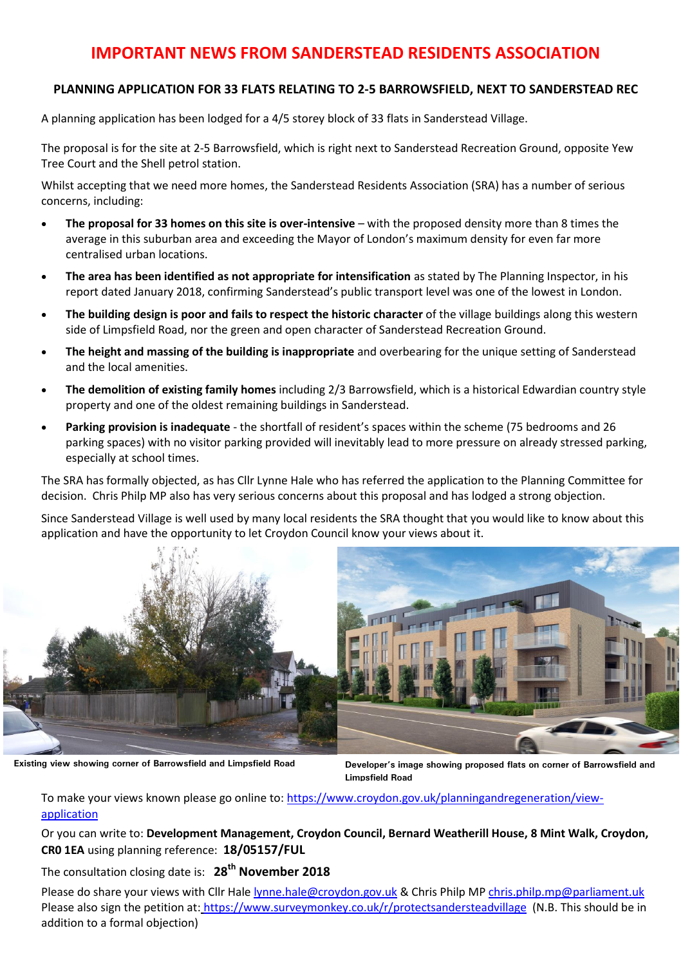## **IMPORTANT NEWS FROM SANDERSTEAD RESIDENTS ASSOCIATION**

## **PLANNING APPLICATION FOR 33 FLATS RELATING TO 2-5 BARROWSFIELD, NEXT TO SANDERSTEAD REC**

A planning application has been lodged for a 4/5 storey block of 33 flats in Sanderstead Village.

The proposal is for the site at 2-5 Barrowsfield, which is right next to Sanderstead Recreation Ground, opposite Yew Tree Court and the Shell petrol station.

Whilst accepting that we need more homes, the Sanderstead Residents Association (SRA) has a number of serious concerns, including:

- **The proposal for 33 homes on this site is over-intensive** with the proposed density more than 8 times the average in this suburban area and exceeding the Mayor of London's maximum density for even far more centralised urban locations.
- **The area has been identified as not appropriate for intensification** as stated by The Planning Inspector, in his report dated January 2018, confirming Sanderstead's public transport level was one of the lowest in London.
- **The building design is poor and fails to respect the historic character** of the village buildings along this western side of Limpsfield Road, nor the green and open character of Sanderstead Recreation Ground.
- **The height and massing of the building is inappropriate** and overbearing for the unique setting of Sanderstead and the local amenities.
- **The demolition of existing family homes** including 2/3 Barrowsfield, which is a historical Edwardian country style property and one of the oldest remaining buildings in Sanderstead.
- **Parking provision is inadequate** the shortfall of resident's spaces within the scheme (75 bedrooms and 26 parking spaces) with no visitor parking provided will inevitably lead to more pressure on already stressed parking, especially at school times.

The SRA has formally objected, as has Cllr Lynne Hale who has referred the application to the Planning Committee for decision. Chris Philp MP also has very serious concerns about this proposal and has lodged a strong objection.

Since Sanderstead Village is well used by many local residents the SRA thought that you would like to know about this application and have the opportunity to let Croydon Council know your views about it.



**Existing view showing corner of Barrowsfield and Limpsfield Road**

**Developer's image showing proposed flats on corner of Barrowsfield and Limpsfield Road**

To make your views known please go online to: [https://www.croydon.gov.uk/planningandregeneration/view](https://www.croydon.gov.uk/planningandregeneration/view-application)[application](https://www.croydon.gov.uk/planningandregeneration/view-application)

Or you can write to: **Development Management, Croydon Council, Bernard Weatherill House, [8 Mint Walk, Croydon,](https://maps.google.com/?q=8+Mint+Walk,+Croydon+CR0+1EA&entry=gmail&source=g) [CR0 1EA](https://maps.google.com/?q=8+Mint+Walk,+Croydon+CR0+1EA&entry=gmail&source=g)** using planning reference: **18/05157/FUL** 

The consultation closing date is: **28th November 2018** 

Please do share your views with Cllr Hale [lynne.hale@croydon.gov.uk](mailto:lynne.hale@croydon.gov.uk) & Chris Philp MP [chris.philp.mp@parliament.uk](mailto:chris.philp.mp@parliament.uk) Please also sign the petition at: <https://www.surveymonkey.co.uk/r/protectsandersteadvillage> (N.B. This should be in addition to a formal objection)